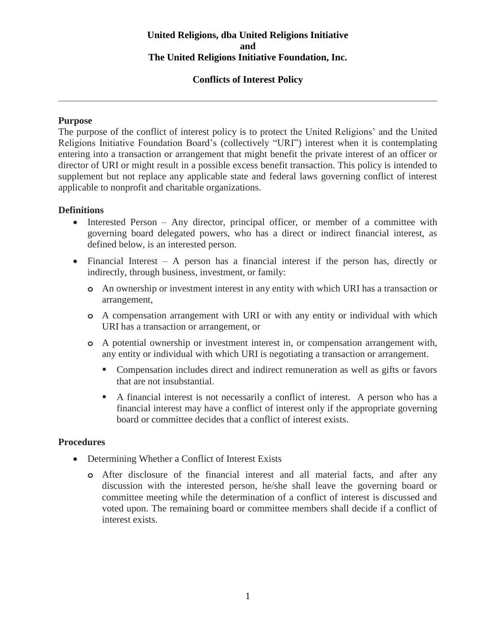## **United Religions, dba United Religions Initiative and The United Religions Initiative Foundation, Inc.**

## **Conflicts of Interest Policy**

## **Purpose**

The purpose of the conflict of interest policy is to protect the United Religions' and the United Religions Initiative Foundation Board's (collectively "URI") interest when it is contemplating entering into a transaction or arrangement that might benefit the private interest of an officer or director of URI or might result in a possible excess benefit transaction. This policy is intended to supplement but not replace any applicable state and federal laws governing conflict of interest applicable to nonprofit and charitable organizations.

## **Definitions**

- Interested Person Any director, principal officer, or member of a committee with governing board delegated powers, who has a direct or indirect financial interest, as defined below, is an interested person.
- Financial Interest A person has a financial interest if the person has, directly or indirectly, through business, investment, or family:
	- **o** An ownership or investment interest in any entity with which URI has a transaction or arrangement,
	- **o** A compensation arrangement with URI or with any entity or individual with which URI has a transaction or arrangement, or
	- **o** A potential ownership or investment interest in, or compensation arrangement with, any entity or individual with which URI is negotiating a transaction or arrangement.
		- Compensation includes direct and indirect remuneration as well as gifts or favors that are not insubstantial.
		- A financial interest is not necessarily a conflict of interest. A person who has a financial interest may have a conflict of interest only if the appropriate governing board or committee decides that a conflict of interest exists.

## **Procedures**

- Determining Whether a Conflict of Interest Exists
	- **o** After disclosure of the financial interest and all material facts, and after any discussion with the interested person, he/she shall leave the governing board or committee meeting while the determination of a conflict of interest is discussed and voted upon. The remaining board or committee members shall decide if a conflict of interest exists.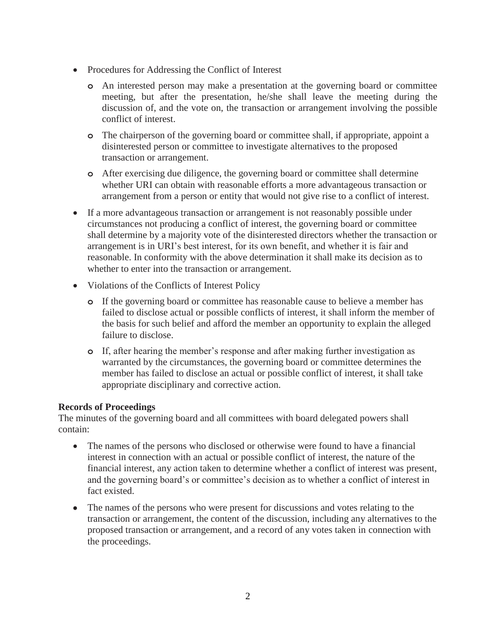- Procedures for Addressing the Conflict of Interest
	- **o** An interested person may make a presentation at the governing board or committee meeting, but after the presentation, he/she shall leave the meeting during the discussion of, and the vote on, the transaction or arrangement involving the possible conflict of interest.
	- **o** The chairperson of the governing board or committee shall, if appropriate, appoint a disinterested person or committee to investigate alternatives to the proposed transaction or arrangement.
	- **o** After exercising due diligence, the governing board or committee shall determine whether URI can obtain with reasonable efforts a more advantageous transaction or arrangement from a person or entity that would not give rise to a conflict of interest.
- If a more advantageous transaction or arrangement is not reasonably possible under circumstances not producing a conflict of interest, the governing board or committee shall determine by a majority vote of the disinterested directors whether the transaction or arrangement is in URI's best interest, for its own benefit, and whether it is fair and reasonable. In conformity with the above determination it shall make its decision as to whether to enter into the transaction or arrangement.
- Violations of the Conflicts of Interest Policy
	- **o** If the governing board or committee has reasonable cause to believe a member has failed to disclose actual or possible conflicts of interest, it shall inform the member of the basis for such belief and afford the member an opportunity to explain the alleged failure to disclose.
	- **o** If, after hearing the member's response and after making further investigation as warranted by the circumstances, the governing board or committee determines the member has failed to disclose an actual or possible conflict of interest, it shall take appropriate disciplinary and corrective action.

## **Records of Proceedings**

The minutes of the governing board and all committees with board delegated powers shall contain:

- The names of the persons who disclosed or otherwise were found to have a financial interest in connection with an actual or possible conflict of interest, the nature of the financial interest, any action taken to determine whether a conflict of interest was present, and the governing board's or committee's decision as to whether a conflict of interest in fact existed.
- The names of the persons who were present for discussions and votes relating to the transaction or arrangement, the content of the discussion, including any alternatives to the proposed transaction or arrangement, and a record of any votes taken in connection with the proceedings.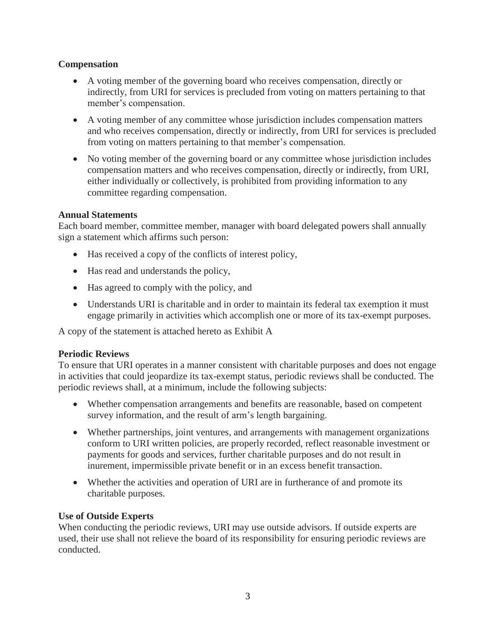## **Compensation**

- A voting member of the governing board who receives compensation, directly or indirectly, from URI for services is precluded from voting on matters pertaining to that member's compensation.
- A voting member of any committee whose jurisdiction includes compensation matters and who receives compensation, directly or indirectly, from URI for services is precluded from voting on matters pertaining to that member's compensation.
- No voting member of the governing board or any committee whose jurisdiction includes compensation matters and who receives compensation, directly or indirectly, from URI, either individually or collectively, is prohibited from providing information to any committee regarding compensation.

## **Annual Statements**

Each board member, committee member, manager with board delegated powers shall annually sign a statement which affirms such person:

- Has received a copy of the conflicts of interest policy,
- Has read and understands the policy,
- Has agreed to comply with the policy, and
- Understands URI is charitable and in order to maintain its federal tax exemption it must engage primarily in activities which accomplish one or more of its tax-exempt purposes.

A copy of the statement is attached hereto as Exhibit A

## **Periodic Reviews**

To ensure that URI operates in a manner consistent with charitable purposes and does not engage in activities that could jeopardize its tax-exempt status, periodic reviews shall be conducted. The periodic reviews shall, at a minimum, include the following subjects:

- Whether compensation arrangements and benefits are reasonable, based on competent survey information, and the result of arm's length bargaining.
- Whether partnerships, joint ventures, and arrangements with management organizations conform to URI written policies, are properly recorded, reflect reasonable investment or payments for goods and services, further charitable purposes and do not result in inurement, impermissible private benefit or in an excess benefit transaction.
- Whether the activities and operation of URI are in furtherance of and promote its charitable purposes.

## **Use of Outside Experts**

When conducting the periodic reviews, URI may use outside advisors. If outside experts are used, their use shall not relieve the board of its responsibility for ensuring periodic reviews are conducted.